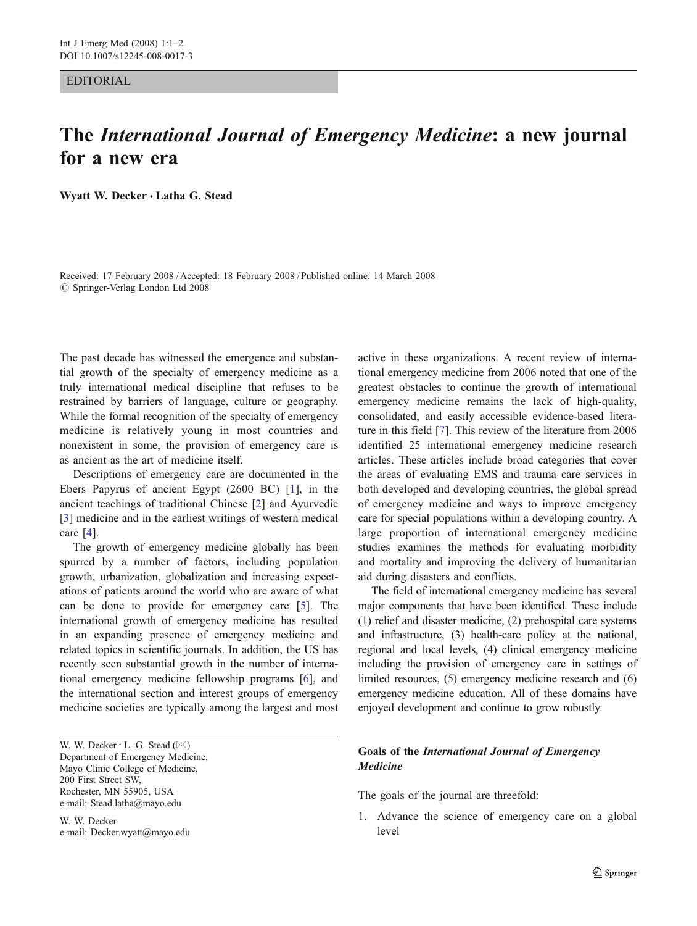## EDITORIAL

## The International Journal of Emergency Medicine: a new journal for a new era

Wyatt W. Decker *&* Latha G. Stead

Received: 17 February 2008 /Accepted: 18 February 2008 / Published online: 14 March 2008  $\oslash$  Springer-Verlag London Ltd 2008

The past decade has witnessed the emergence and substantial growth of the specialty of emergency medicine as a truly international medical discipline that refuses to be restrained by barriers of language, culture or geography. While the formal recognition of the specialty of emergency medicine is relatively young in most countries and nonexistent in some, the provision of emergency care is as ancient as the art of medicine itself.

Descriptions of emergency care are documented in the Ebers Papyrus of ancient Egypt (2600 BC) [[1\]](#page-1-0), in the ancient teachings of traditional Chinese [\[2](#page-1-0)] and Ayurvedic [\[3](#page-1-0)] medicine and in the earliest writings of western medical care [[4\]](#page-1-0).

The growth of emergency medicine globally has been spurred by a number of factors, including population growth, urbanization, globalization and increasing expectations of patients around the world who are aware of what can be done to provide for emergency care [[5\]](#page-1-0). The international growth of emergency medicine has resulted in an expanding presence of emergency medicine and related topics in scientific journals. In addition, the US has recently seen substantial growth in the number of international emergency medicine fellowship programs [\[6](#page-1-0)], and the international section and interest groups of emergency medicine societies are typically among the largest and most

W. W. Decker  $\cdot$  L. G. Stead ( $\boxtimes$ ) Department of Emergency Medicine, Mayo Clinic College of Medicine, 200 First Street SW, Rochester, MN 55905, USA e-mail: Stead.latha@mayo.edu

W. W. Decker e-mail: Decker.wyatt@mayo.edu active in these organizations. A recent review of international emergency medicine from 2006 noted that one of the greatest obstacles to continue the growth of international emergency medicine remains the lack of high-quality, consolidated, and easily accessible evidence-based literature in this field [\[7](#page-1-0)]. This review of the literature from 2006 identified 25 international emergency medicine research articles. These articles include broad categories that cover the areas of evaluating EMS and trauma care services in both developed and developing countries, the global spread of emergency medicine and ways to improve emergency care for special populations within a developing country. A large proportion of international emergency medicine studies examines the methods for evaluating morbidity and mortality and improving the delivery of humanitarian aid during disasters and conflicts.

The field of international emergency medicine has several major components that have been identified. These include (1) relief and disaster medicine, (2) prehospital care systems and infrastructure, (3) health-care policy at the national, regional and local levels, (4) clinical emergency medicine including the provision of emergency care in settings of limited resources, (5) emergency medicine research and (6) emergency medicine education. All of these domains have enjoyed development and continue to grow robustly.

## Goals of the International Journal of Emergency Medicine

The goals of the journal are threefold:

1. Advance the science of emergency care on a global level